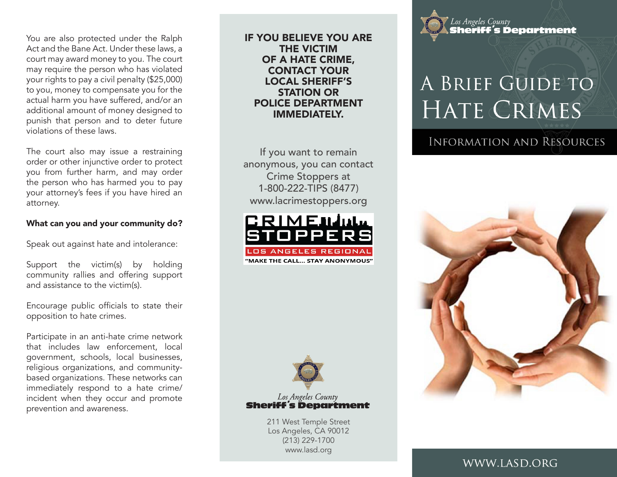You are also protected under the Ralph Act and the Bane Act. Under these laws, a court may award money to you. The court may require the person who has violated your rights to pay a civil penalty (\$25,000) to you, money to compensate you for the actual harm you have suffered, and/or an additional amount of money designed to punish that person and to deter future violations of these laws.

The court also may issue a restraining order or other injunctive order to protect you from further harm, and may order the person who has harmed you to pay your attorney's fees if you have hired an attorney.

#### What can you and your community do?

Speak out against hate and intolerance:

Support the victim(s) by holding community rallies and offering support and assistance to the victim(s).

Encourage public officials to state their opposition to hate crimes.

Participate in an anti-hate crime network that includes law enforcement, local government, schools, local businesses, religious organizations, and communitybased organizations. These networks can immediately respond to a hate crime/ incident when they occur and promote prevention and awareness.

IF YOU BELIEVE YOU ARE THE VICTIM OF A HATE CRIME, CONTACT YOUR LOCAL SHERIFF'S STATION OR POLICE DEPARTMENT IMMEDIATELY.

If you want to remain anonymous, you can contact Crime Stoppers at 1-800-222-TIPS (8477) www.lacrimestoppers.org





Los Angeles County 

> 211 West Temple Street Los Angeles, CA 90012 (213) 229-1700 www.lasd.org



# A BRIEF GUIDE TO HATE CRIMES

# **INFORMATION AND RESOURCES**



WWW.LASD.ORG